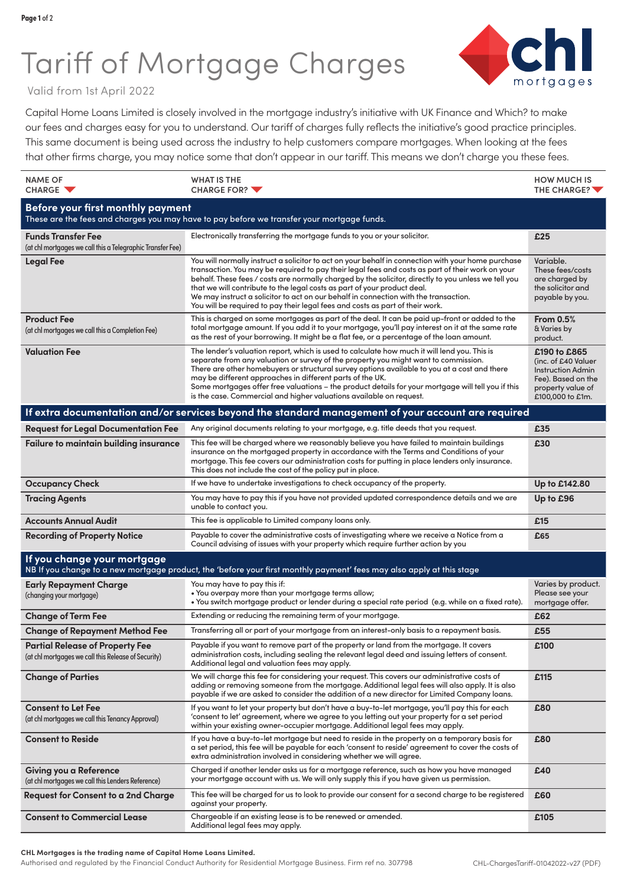# Tariff of Mortgage Charges



## Valid from 1st April 2022

Capital Home Loans Limited is closely involved in the mortgage industry's initiative with UK Finance and Which? to make our fees and charges easy for you to understand. Our tariff of charges fully reflects the initiative's good practice principles. This same document is being used across the industry to help customers compare mortgages. When looking at the fees that other firms charge, you may notice some that don't appear in our tariff. This means we don't charge you these fees.

| <b>NAME OF</b><br>CHARGE V                                                                                                      | <b>WHAT IS THE</b><br>CHARGE FOR?                                                                                                                                                                                                                                                                                                                                                                                                                                                                                                                                   | <b>HOW MUCH IS</b><br>THE CHARGE?                                                                                              |  |  |
|---------------------------------------------------------------------------------------------------------------------------------|---------------------------------------------------------------------------------------------------------------------------------------------------------------------------------------------------------------------------------------------------------------------------------------------------------------------------------------------------------------------------------------------------------------------------------------------------------------------------------------------------------------------------------------------------------------------|--------------------------------------------------------------------------------------------------------------------------------|--|--|
| Before your first monthly payment<br>These are the fees and charges you may have to pay before we transfer your mortgage funds. |                                                                                                                                                                                                                                                                                                                                                                                                                                                                                                                                                                     |                                                                                                                                |  |  |
| <b>Funds Transfer Fee</b><br>(at chl mortgages we call this a Telegraphic Transfer Fee)                                         | Electronically transferring the mortgage funds to you or your solicitor.                                                                                                                                                                                                                                                                                                                                                                                                                                                                                            | £25                                                                                                                            |  |  |
| <b>Legal Fee</b>                                                                                                                | You will normally instruct a solicitor to act on your behalf in connection with your home purchase<br>transaction. You may be required to pay their legal fees and costs as part of their work on your<br>behalf. These fees / costs are normally charged by the solicitor, directly to you unless we tell you<br>that we will contribute to the legal costs as part of your product deal.<br>We may instruct a solicitor to act on our behalf in connection with the transaction.<br>You will be required to pay their legal fees and costs as part of their work. | Variable.<br>These fees/costs<br>are charged by<br>the solicitor and<br>payable by you.                                        |  |  |
| <b>Product Fee</b><br>(at chl mortgages we call this a Completion Fee)                                                          | This is charged on some mortgages as part of the deal. It can be paid up-front or added to the<br>total mortgage amount. If you add it to your mortgage, you'll pay interest on it at the same rate<br>as the rest of your borrowing. It might be a flat fee, or a percentage of the loan amount.                                                                                                                                                                                                                                                                   | <b>From 0.5%</b><br>& Varies by<br>product.                                                                                    |  |  |
| <b>Valuation Fee</b>                                                                                                            | The lender's valuation report, which is used to calculate how much it will lend you. This is<br>separate from any valuation or survey of the property you might want to commission.<br>There are other homebuyers or structural survey options available to you at a cost and there<br>may be different approaches in different parts of the UK.<br>Some mortgages offer free valuations - the product details for your mortgage will tell you if this<br>is the case. Commercial and higher valuations available on request.                                       | £190 to £865<br>(inc. of £40 Valuer<br><b>Instruction Admin</b><br>Fee). Based on the<br>property value of<br>£100,000 to £1m. |  |  |
|                                                                                                                                 | If extra documentation and/or services beyond the standard management of your account are required                                                                                                                                                                                                                                                                                                                                                                                                                                                                  |                                                                                                                                |  |  |
| <b>Request for Legal Documentation Fee</b>                                                                                      | Any original documents relating to your mortgage, e.g. title deeds that you request.                                                                                                                                                                                                                                                                                                                                                                                                                                                                                | £35                                                                                                                            |  |  |
| <b>Failure to maintain building insurance</b>                                                                                   | This fee will be charged where we reasonably believe you have failed to maintain buildings<br>insurance on the mortgaged property in accordance with the Terms and Conditions of your<br>mortgage. This fee covers our administration costs for putting in place lenders only insurance.<br>This does not include the cost of the policy put in place.                                                                                                                                                                                                              | £30                                                                                                                            |  |  |
| <b>Occupancy Check</b>                                                                                                          | If we have to undertake investigations to check occupancy of the property.                                                                                                                                                                                                                                                                                                                                                                                                                                                                                          | Up to £142.80                                                                                                                  |  |  |
| <b>Tracing Agents</b>                                                                                                           | You may have to pay this if you have not provided updated correspondence details and we are<br>unable to contact you.                                                                                                                                                                                                                                                                                                                                                                                                                                               | Up to £96                                                                                                                      |  |  |
| <b>Accounts Annual Audit</b>                                                                                                    | This fee is applicable to Limited company loans only.                                                                                                                                                                                                                                                                                                                                                                                                                                                                                                               | £15                                                                                                                            |  |  |
| <b>Recording of Property Notice</b>                                                                                             | Payable to cover the administrative costs of investigating where we receive a Notice from a<br>Council advising of issues with your property which require further action by you                                                                                                                                                                                                                                                                                                                                                                                    | £65                                                                                                                            |  |  |
| If you change your mortgage                                                                                                     | NB If you change to a new mortgage product, the 'before your first monthly payment' fees may also apply at this stage                                                                                                                                                                                                                                                                                                                                                                                                                                               |                                                                                                                                |  |  |
| <b>Early Repayment Charge</b><br>(changing your mortgage)                                                                       | You may have to pay this if:<br>• You overpay more than your mortgage terms allow;<br>. You switch mortgage product or lender during a special rate period (e.g. while on a fixed rate).                                                                                                                                                                                                                                                                                                                                                                            | Varies by product.<br>Please see your<br>mortgage offer.                                                                       |  |  |
| <b>Change of Term Fee</b>                                                                                                       | Extending or reducing the remaining term of your mortgage.                                                                                                                                                                                                                                                                                                                                                                                                                                                                                                          | £62                                                                                                                            |  |  |
| <b>Change of Repayment Method Fee</b>                                                                                           | Transferring all or part of your mortgage from an interest-only basis to a repayment basis.                                                                                                                                                                                                                                                                                                                                                                                                                                                                         | £55                                                                                                                            |  |  |
| <b>Partial Release of Property Fee</b><br>(at chl mortgages we call this Release of Security)                                   | Payable if you want to remove part of the property or land from the mortgage. It covers<br>administration costs, including sealing the relevant legal deed and issuing letters of consent.<br>Additional legal and valuation fees may apply.                                                                                                                                                                                                                                                                                                                        | £100                                                                                                                           |  |  |
| <b>Change of Parties</b>                                                                                                        | We will charge this fee for considering your request. This covers our administrative costs of<br>adding or removing someone from the mortgage. Additional legal fees will also apply. It is also<br>payable if we are asked to consider the addition of a new director for Limited Company loans.                                                                                                                                                                                                                                                                   | £115                                                                                                                           |  |  |
| <b>Consent to Let Fee</b><br>(at chl mortgages we call this Tenancy Approval)                                                   | If you want to let your property but don't have a buy-to-let mortgage, you'll pay this for each<br>'consent to let' agreement, where we agree to you letting out your property for a set period<br>within your existing owner-occupier mortgage. Additional legal fees may apply.                                                                                                                                                                                                                                                                                   | £80                                                                                                                            |  |  |
| <b>Consent to Reside</b>                                                                                                        | If you have a buy-to-let mortgage but need to reside in the property on a temporary basis for<br>a set period, this fee will be payable for each 'consent to reside' agreement to cover the costs of<br>extra administration involved in considering whether we will agree.                                                                                                                                                                                                                                                                                         | £80                                                                                                                            |  |  |
| Giving you a Reference<br>(at chl mortgages we call this Lenders Reference)                                                     | Charged if another lender asks us for a mortgage reference, such as how you have managed<br>your mortgage account with us. We will only supply this if you have given us permission.                                                                                                                                                                                                                                                                                                                                                                                | £40                                                                                                                            |  |  |
| Request for Consent to a 2nd Charge                                                                                             | This fee will be charged for us to look to provide our consent for a second charge to be registered<br>against your property.                                                                                                                                                                                                                                                                                                                                                                                                                                       | £60                                                                                                                            |  |  |
| <b>Consent to Commercial Lease</b>                                                                                              | Chargeable if an existing lease is to be renewed or amended.<br>Additional legal fees may apply.                                                                                                                                                                                                                                                                                                                                                                                                                                                                    | £105                                                                                                                           |  |  |

#### **CHL Mortgages is the trading name of Capital Home Loans Limited.**

Authorised and regulated by the Financial Conduct Authority for Residential Mortgage Business. Firm ref no. 307798 CHL-ChargesTariff-01042022-v27 (PDF)